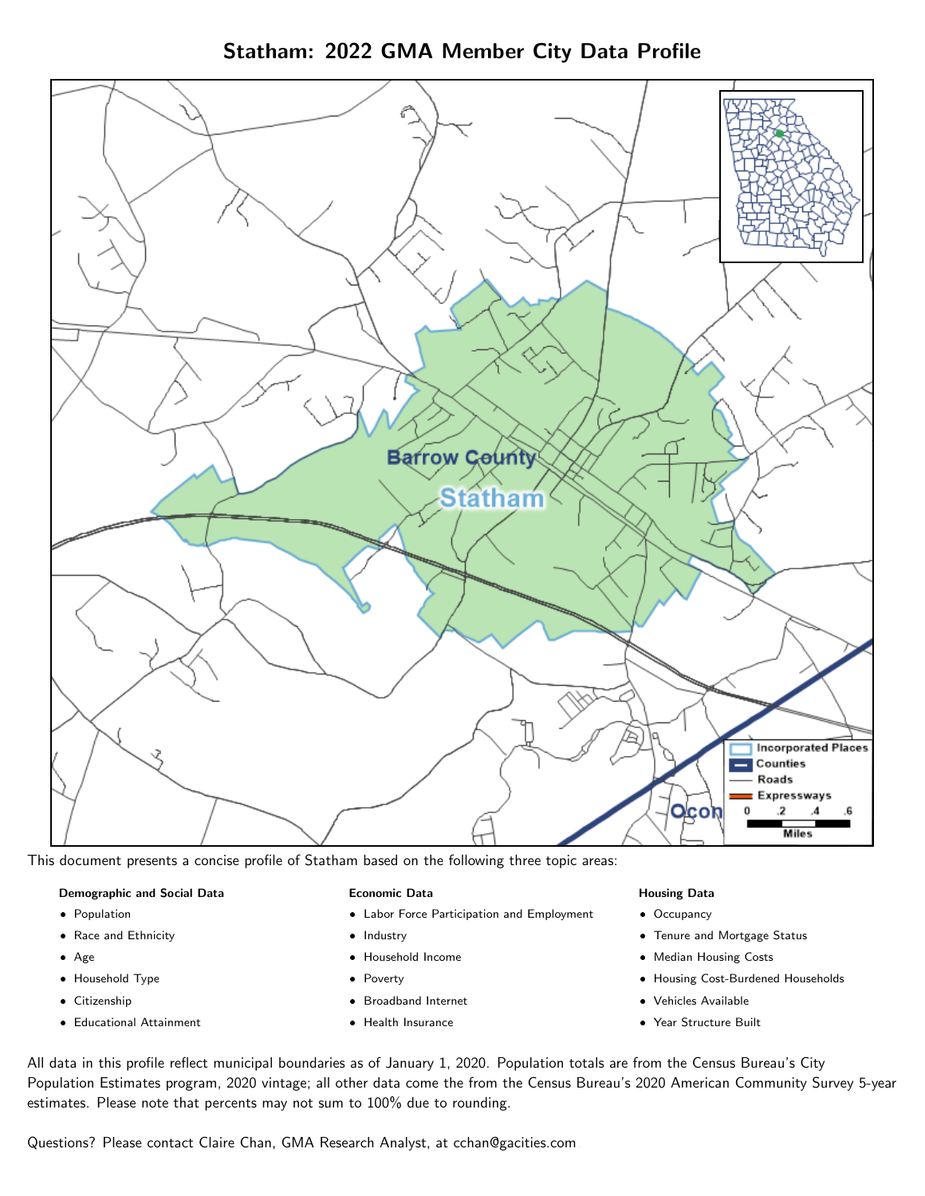Statham: 2022 GMA Member City Data Profile



This document presents a concise profile of Statham based on the following three topic areas:

#### Demographic and Social Data

- **•** Population
- Race and Ethnicity
- Age
- Household Type
- **Citizenship**
- Educational Attainment

### Economic Data

- Labor Force Participation and Employment
- Industry
- Household Income
- Poverty
- Broadband Internet
- Health Insurance

## Housing Data

- Occupancy
- Tenure and Mortgage Status
- Median Housing Costs
- Housing Cost-Burdened Households
- Vehicles Available
- Year Structure Built

All data in this profile reflect municipal boundaries as of January 1, 2020. Population totals are from the Census Bureau's City Population Estimates program, 2020 vintage; all other data come the from the Census Bureau's 2020 American Community Survey 5-year estimates. Please note that percents may not sum to 100% due to rounding.

Questions? Please contact Claire Chan, GMA Research Analyst, at [cchan@gacities.com.](mailto:cchan@gacities.com)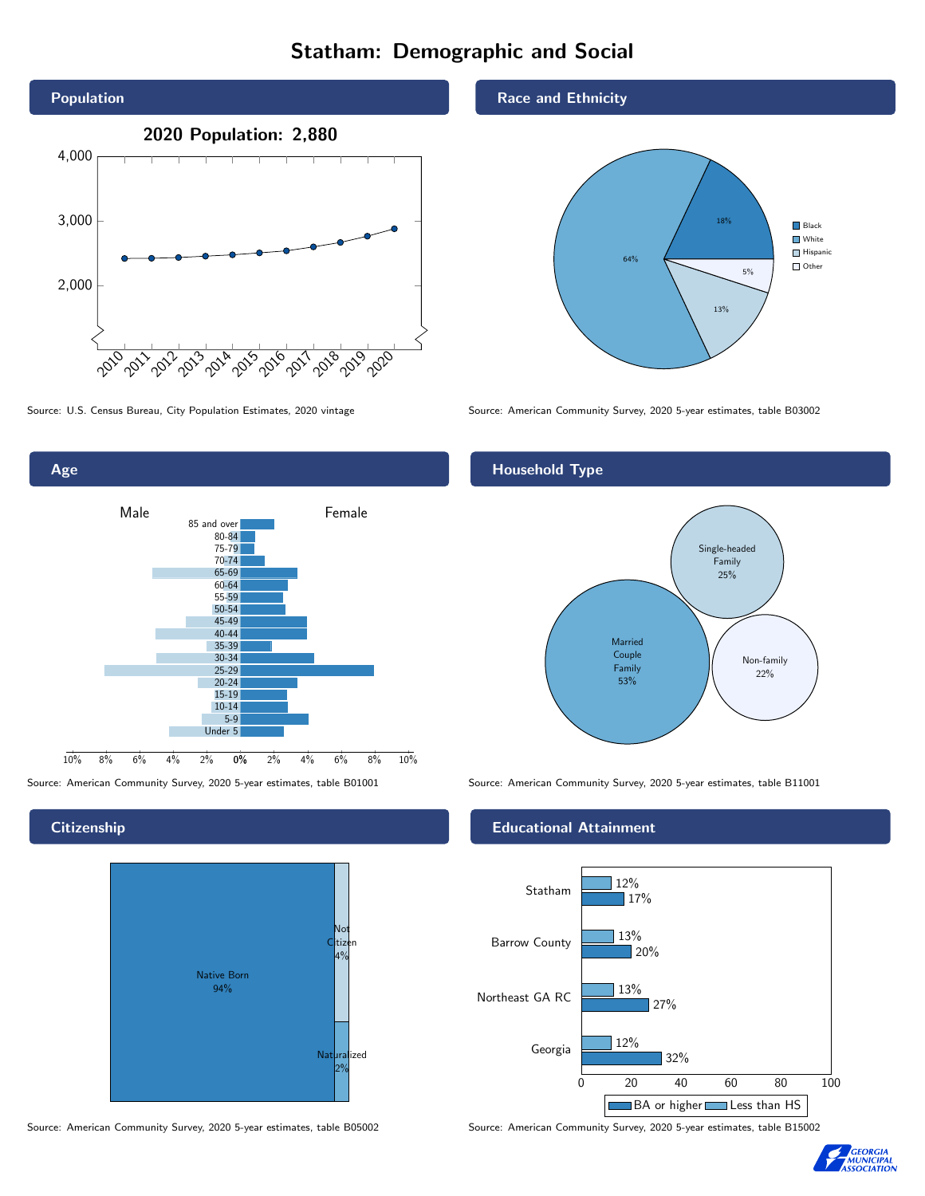# Statham: Demographic and Social



0% 2% 4% 6% 8% 10% 80-84 75-79 70-74 65-69 60-64 55-59 50-54 45-49 40-44 35-39 30-34 25-29 20-24 15-19 10-14 5-9 Under 5

Male **Female** 

85 and over

10% 8% 6% 4% 2%

### **Citizenship**

Age



Source: American Community Survey, 2020 5-year estimates, table B05002 Source: American Community Survey, 2020 5-year estimates, table B15002

#### Race and Ethnicity



Source: U.S. Census Bureau, City Population Estimates, 2020 vintage Source: American Community Survey, 2020 5-year estimates, table B03002

# Household Type



Source: American Community Survey, 2020 5-year estimates, table B01001 Source: American Community Survey, 2020 5-year estimates, table B11001

### Educational Attainment



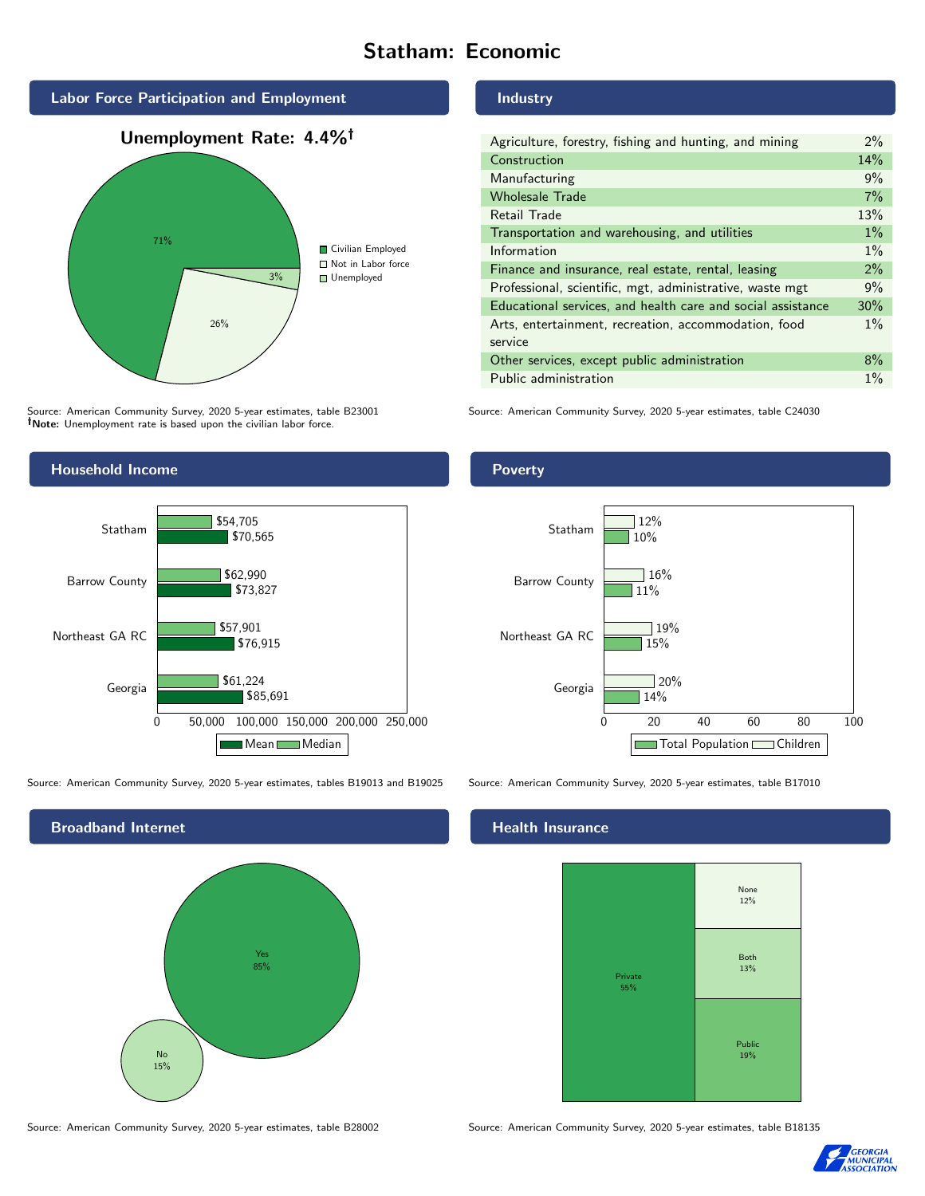# Statham: Economic



Source: American Community Survey, 2020 5-year estimates, table B23001 Note: Unemployment rate is based upon the civilian labor force.



Source: American Community Survey, 2020 5-year estimates, tables B19013 and B19025 Source: American Community Survey, 2020 5-year estimates, table B17010



Source: American Community Survey, 2020 5-year estimates, table B28002 Source: American Community Survey, 2020 5-year estimates, table B18135

#### Industry

| Agriculture, forestry, fishing and hunting, and mining      | $2\%$ |
|-------------------------------------------------------------|-------|
| Construction                                                | 14%   |
| Manufacturing                                               | 9%    |
| <b>Wholesale Trade</b>                                      | 7%    |
| Retail Trade                                                | 13%   |
| Transportation and warehousing, and utilities               | $1\%$ |
| Information                                                 | $1\%$ |
| Finance and insurance, real estate, rental, leasing         | 2%    |
| Professional, scientific, mgt, administrative, waste mgt    | 9%    |
| Educational services, and health care and social assistance | 30%   |
| Arts, entertainment, recreation, accommodation, food        | $1\%$ |
| service                                                     |       |
| Other services, except public administration                | $8\%$ |
| Public administration                                       | $1\%$ |

Source: American Community Survey, 2020 5-year estimates, table C24030

## Poverty



# **Health Insurance**